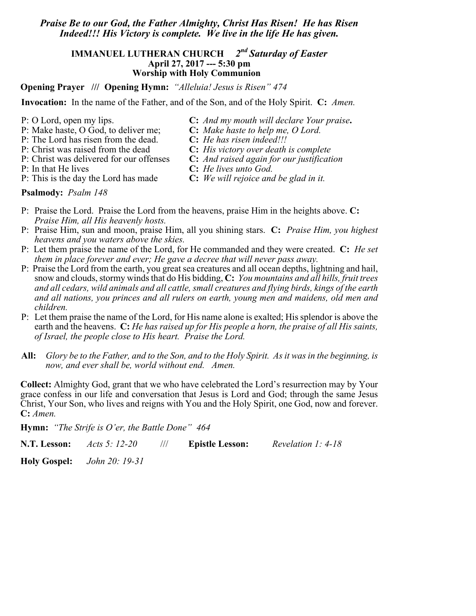# *Praise Be to our God, the Father Almighty, Christ Has Risen! He has Risen Indeed!!! His Victory is complete. We live in the life He has given.*

## **IMMANUEL LUTHERAN CHURCH** *2nd Saturday of Easter* **April 27, 2017 --- 5:30 pm Worship with Holy Communion**

**Opening Prayer /// Opening Hymn:** *"Alleluia! Jesus is Risen" 474*

**Invocation:** In the name of the Father, and of the Son, and of the Holy Spirit. **C:** *Amen.*

- P: O Lord, open my lips. **C:** *And my mouth will declare Your praise***.**
- P: Make haste, O God, to deliver me; **C:** *Make haste to help me, O Lord.*
- P: The Lord has risen from the dead.
- P: Christ was raised from the dead **C:** *His victory over death is complete*
- P: Christ was delivered for our offenses **C:** *And raised again for our justification*
	-
- 
- P: This is the day the Lord has made **C:** *We will rejoice and be glad in it.*
- 

- **Psalmody:** *Psalm 148*
- P: Praise the Lord. Praise the Lord from the heavens, praise Him in the heights above. **C:** *Praise Him, all His heavenly hosts.*
- P: Praise Him, sun and moon, praise Him, all you shining stars. **C:** *Praise Him, you highest heavens and you waters above the skies.*
- P: Let them praise the name of the Lord, for He commanded and they were created. **C:** *He set them in place forever and ever; He gave a decree that will never pass away.*
- P: Praise the Lord from the earth, you great sea creatures and all ocean depths, lightning and hail, snow and clouds, stormy winds that do His bidding, **C:** *You mountains and all hills, fruit trees and all cedars, wild animals and all cattle, small creatures and flying birds, kings of the earth and all nations, you princes and all rulers on earth, young men and maidens, old men and children.*
- P: Let them praise the name of the Lord, for His name alone is exalted; His splendor is above the earth and the heavens. **C:** *He has raised up for His people a horn, the praise of all His saints, of Israel, the people close to His heart. Praise the Lord.*
- **All:** *Glory be to the Father, and to the Son, and to the Holy Spirit. As it was in the beginning, is now, and ever shall be, world without end. Amen.*

**Collect:** Almighty God, grant that we who have celebrated the Lord's resurrection may by Your grace confess in our life and conversation that Jesus is Lord and God; through the same Jesus Christ, Your Son, who lives and reigns with You and the Holy Spirit, one God, now and forever. **C:** *Amen.*

**Hymn:** *"The Strife is O'er, the Battle Done" 464*

**N.T. Lesson:** *Acts 5: 12-20* /// **Epistle Lesson:** *Revelation 1: 4-18*

**Holy Gospel:** *John 20: 19-31* 

- P: In that He lives **C:** *He lives unto God.*
	-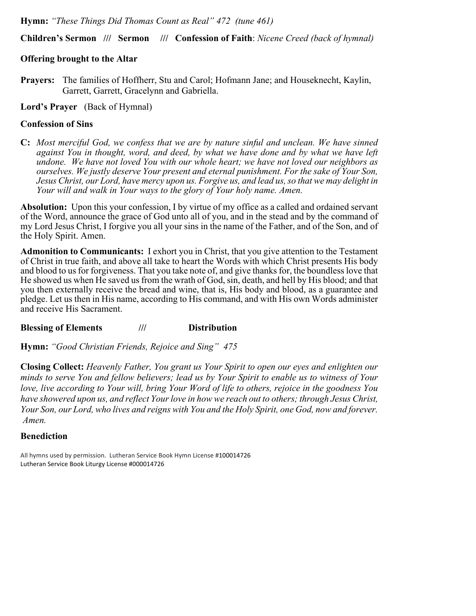**Hymn:** *"These Things Did Thomas Count as Real" 472 (tune 461)*

**Children's Sermon /// Sermon /// Confession of Faith**: *Nicene Creed (back of hymnal)*

# **Offering brought to the Altar**

**Prayers:** The families of Hoffherr, Stu and Carol; Hofmann Jane; and Houseknecht, Kaylin, Garrett, Garrett, Gracelynn and Gabriella.

**Lord's Prayer** (Back of Hymnal)

# **Confession of Sins**

**C:** *Most merciful God, we confess that we are by nature sinful and unclean. We have sinned against You in thought, word, and deed, by what we have done and by what we have left undone. We have not loved You with our whole heart; we have not loved our neighbors as ourselves. We justly deserve Your present and eternal punishment. For the sake of Your Son, Jesus Christ, our Lord, have mercy upon us. Forgive us, and lead us, so that we may delight in Your will and walk in Your ways to the glory of Your holy name. Amen.*

**Absolution:** Upon this your confession, I by virtue of my office as a called and ordained servant of the Word, announce the grace of God unto all of you, and in the stead and by the command of my Lord Jesus Christ, I forgive you all your sins in the name of the Father, and of the Son, and of the Holy Spirit. Amen.

**Admonition to Communicants:** I exhort you in Christ, that you give attention to the Testament of Christ in true faith, and above all take to heart the Words with which Christ presents His body and blood to us for forgiveness. That you take note of, and give thanks for, the boundless love that He showed us when He saved us from the wrath of God, sin, death, and hell by His blood; and that you then externally receive the bread and wine, that is, His body and blood, as a guarantee and pledge. Let us then in His name, according to His command, and with His own Words administer and receive His Sacrament.

**Blessing of Elements /// Distribution** 

**Hymn:** *"Good Christian Friends, Rejoice and Sing" 475* 

**Closing Collect:** *Heavenly Father, You grant us Your Spirit to open our eyes and enlighten our minds to serve You and fellow believers; lead us by Your Spirit to enable us to witness of Your love, live according to Your will, bring Your Word of life to others, rejoice in the goodness You have showered upon us, and reflect Your love in how we reach out to others; through Jesus Christ, Your Son, our Lord, who lives and reigns with You and the Holy Spirit, one God, now and forever. Amen.*

# **Benediction**

All hymns used by permission. Lutheran Service Book Hymn License #100014726 Lutheran Service Book Liturgy License #000014726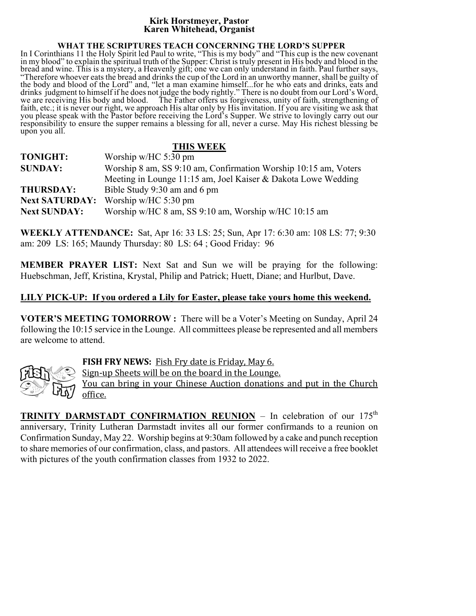#### **Kirk Horstmeyer, Pastor Karen Whitehead, Organist**

#### **WHAT THE SCRIPTURES TEACH CONCERNING THE LORD'S SUPPER**

In I Corinthians 11 the Holy Spirit led Paul to write, "This is my body" and "This cup is the new covenant in my blood" to explain the spiritual truth of the Supper: Christ is truly present in His body and blood in the bread and wine. This is a mystery, a Heavenly gift; one we can only understand in faith. Paul further says, "Therefore whoever eats the bread and drinks the cup of the Lord in an unworthy manner, shall be guilty of the body and blood of the Lord" and, "let a man examine himself...for he who eats and drinks, eats and drinks judgment to himself if he does not judge the body rightly." There is no doubt from our Lord's Word, we are receiving His body and blood. The Father offers us forgiveness, unity of faith, strengthening of faith, etc.; it is never our right, we approach His altar only by His invitation. If you are visiting we ask that you please speak with the Pastor before receiving the Lord's Supper. We strive to lovingly carry out our responsibility to ensure the supper remains a blessing for all, never a curse. May His richest blessing be upon you all.

### **THIS WEEK**

| <b>TONIGHT:</b>       | Worship w/HC $5:30$ pm                                          |
|-----------------------|-----------------------------------------------------------------|
| <b>SUNDAY:</b>        | Worship 8 am, SS 9:10 am, Confirmation Worship 10:15 am, Voters |
|                       | Meeting in Lounge 11:15 am, Joel Kaiser & Dakota Lowe Wedding   |
| <b>THURSDAY:</b>      | Bible Study 9:30 am and 6 pm                                    |
| <b>Next SATURDAY:</b> | Worship w/HC $5:30$ pm                                          |
| <b>Next SUNDAY:</b>   | Worship w/HC 8 am, SS 9:10 am, Worship w/HC 10:15 am            |

**WEEKLY ATTENDANCE:** Sat, Apr 16: 33 LS: 25; Sun, Apr 17: 6:30 am: 108 LS: 77; 9:30 am: 209 LS: 165; Maundy Thursday: 80 LS: 64 ; Good Friday: 96

**MEMBER PRAYER LIST:** Next Sat and Sun we will be praying for the following: Huebschman, Jeff, Kristina, Krystal, Philip and Patrick; Huett, Diane; and Hurlbut, Dave.

# **LILY PICK-UP: If you ordered a Lily for Easter, please take yours home this weekend.**

**VOTER'S MEETING TOMORROW :** There will be a Voter's Meeting on Sunday, April 24 following the 10:15 service in the Lounge. All committees please be represented and all members are welcome to attend.



**FISH FRY NEWS:** Fish Fry date is Friday, May 6.

Sign-up Sheets will be on the board in the Lounge.

You can bring in your Chinese Auction donations and put in the Church office.

**TRINITY DARMSTADT CONFIRMATION REUNION** – In celebration of our 175<sup>th</sup> anniversary, Trinity Lutheran Darmstadt invites all our former confirmands to a reunion on Confirmation Sunday, May 22. Worship begins at 9:30am followed by a cake and punch reception to share memories of our confirmation, class, and pastors. All attendees will receive a free booklet with pictures of the youth confirmation classes from 1932 to 2022.